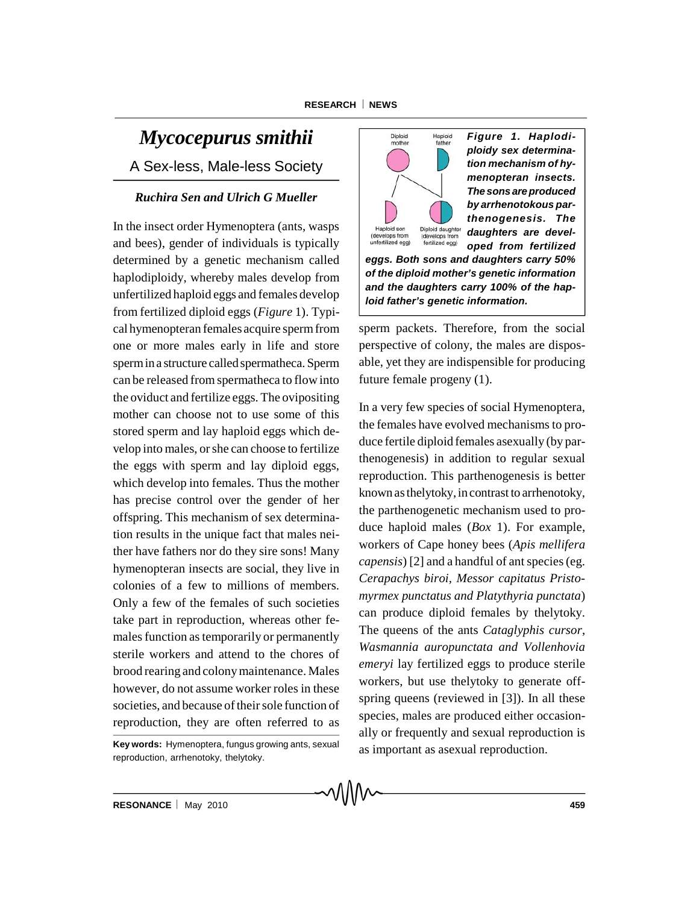# *Mycocepurus smithii*

A Sex-less, Male-less Society

# *Ruchira Sen and Ulrich G Mueller*

In the insect order Hymenoptera (ants, wasps and bees), gender of individuals is typically determined by a genetic mechanism called haplodiploidy, whereby males develop from unfertilized haploid eggs and females develop from fertilized diploid eggs (*Figure* 1). Typical hymenopteran females acquire sperm from one or more males early in life and store spermin a structure called spermatheca. Sperm can be released from spermatheca to flow into the oviduct and fertilize eggs. The ovipositing mother can choose not to use some of this stored sperm and lay haploid eggs which develop into males, or she can choose to fertilize the eggs with sperm and lay diploid eggs, which develop into females. Thus the mother has precise control over the gender of her offspring. This mechanism of sex determination results in the unique fact that males neither have fathers nor do they sire sons! Many hymenopteran insects are social, they live in colonies of a few to millions of members. Only a few of the females of such societies take part in reproduction, whereas other females function as temporarily or permanently sterile workers and attend to the chores of brood rearing and colony maintenance. Males however, do not assume worker roles in these societies, and because of their sole function of reproduction, they are often referred to as



*Figure 1. Haplodiploidy sex determination mechanism of hymenopteran insects. The sonsare produced by arrhenotokous parthenogenesis. The daughters are developed from fertilized*

*eggs. Both sons and daughters carry 50% of the diploid mother's genetic information and the daughters carry 100% of the haploid father's genetic information.*

sperm packets. Therefore, from the social perspective of colony, the males are disposable, yet they are indispensible for producing future female progeny (1).

In a very few species of social Hymenoptera, the females have evolved mechanisms to produce fertile diploid females asexually (by parthenogenesis) in addition to regular sexual reproduction. This parthenogenesis is better known as thelytoky, in contrast to arrhenotoky, the parthenogenetic mechanism used to produce haploid males (*Box* 1). For example, workers of Cape honey bees (*Apis mellifera capensis*) [2] and a handful of ant species (eg. *Cerapachys biroi, Messor capitatus Pristomyrmex punctatus and Platythyria punctata*) can produce diploid females by thelytoky. The queens of the ants *Cataglyphis cursor*, *Wasmannia auropunctata and Vollenhovia emeryi* lay fertilized eggs to produce sterile workers, but use thelytoky to generate offspring queens (reviewed in [3]). In all these species, males are produced either occasionally or frequently and sexual reproduction is as important as asexual reproduction.

**Key words:** Hymenoptera, fungus growing ants, sexual reproduction, arrhenotoky, thelytoky.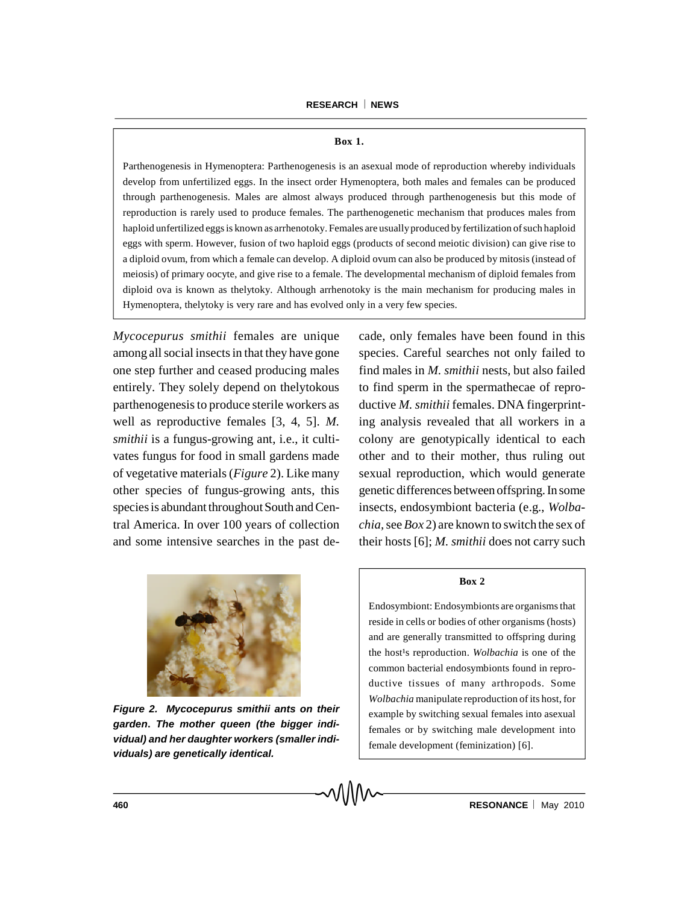#### **Box 1.**

Parthenogenesis in Hymenoptera: Parthenogenesis is an asexual mode of reproduction whereby individuals develop from unfertilized eggs. In the insect order Hymenoptera, both males and females can be produced through parthenogenesis. Males are almost always produced through parthenogenesis but this mode of reproduction is rarely used to produce females. The parthenogenetic mechanism that produces males from haploid unfertilized eggs is known as arrhenotoky. Females are usuallyproduced by fertilization ofsuch haploid eggs with sperm. However, fusion of two haploid eggs (products of second meiotic division) can give rise to a diploid ovum, from which a female can develop. A diploid ovum can also be produced by mitosis (instead of meiosis) of primary oocyte, and give rise to a female. The developmental mechanism of diploid females from diploid ova is known as thelytoky. Although arrhenotoky is the main mechanism for producing males in Hymenoptera, thelytoky is very rare and has evolved only in a very few species.

*Mycocepurus smithii* females are unique among all social insects in that they have gone one step further and ceased producing males entirely. They solely depend on thelytokous parthenogenesis to produce sterile workers as well as reproductive females [3, 4, 5]. *M. smithii* is a fungus-growing ant, i.e., it cultivates fungus for food in small gardens made of vegetative materials (*Figure* 2). Like many other species of fungus-growing ants, this species is abundant throughout South and Central America. In over 100 years of collection and some intensive searches in the past decade, only females have been found in this species. Careful searches not only failed to find males in *M. smithii* nests, but also failed to find sperm in the spermathecae of reproductive *M. smithii* females. DNA fingerprinting analysis revealed that all workers in a colony are genotypically identical to each other and to their mother, thus ruling out sexual reproduction, which would generate genetic differences between offspring. In some insects, endosymbiont bacteria (e.g., *Wolbachia,*see *Box* 2) are known to switch the sex of their hosts [6]; *M. smithii* does not carry such



*Figure 2. Mycocepurus smithii ants on their garden***.** *The mother queen (the bigger individual) and her daughter workers (smaller individuals) are genetically identical.*

### **Box 2**

Endosymbiont: Endosymbionts are organisms that reside in cells or bodies of other organisms (hosts) and are generally transmitted to offspring during the host<sup>1</sup>s reproduction. *Wolbachia* is one of the common bacterial endosymbionts found in reproductive tissues of many arthropods. Some *Wolbachia* manipulate reproduction of its host, for example by switching sexual females into asexual females or by switching male development into female development (feminization) [6].